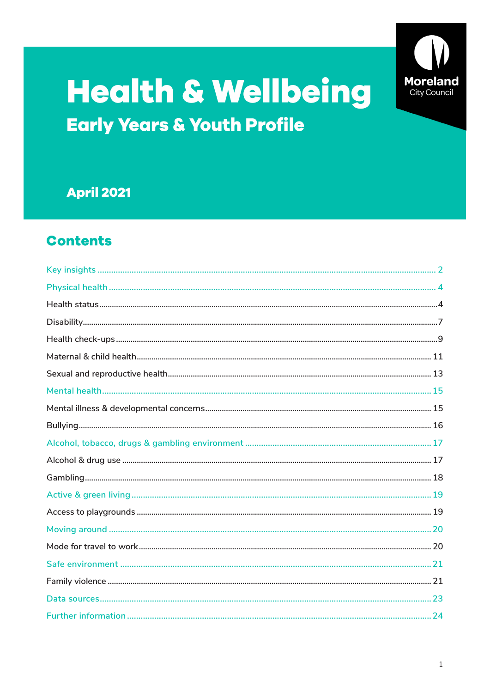

# **Health & Wellbeing Early Years & Youth Profile**

# **April 2021**

# **Contents**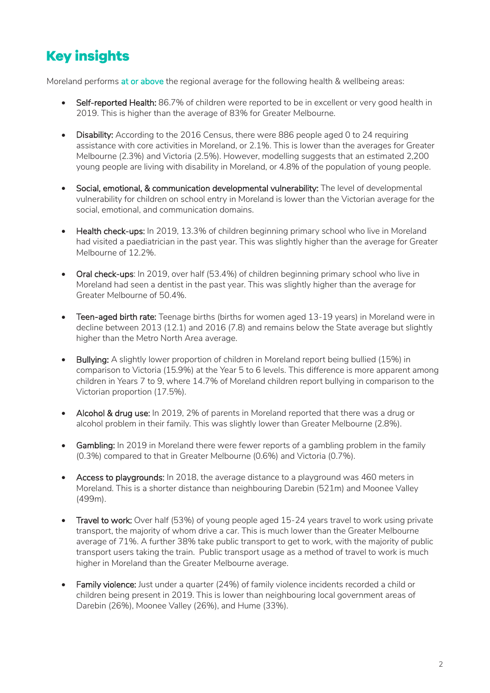# <span id="page-1-0"></span>**Key insights**

Moreland performs at or above the regional average for the following health & wellbeing areas:

- Self-reported Health: 86.7% of children were reported to be in excellent or very good health in 2019. This is higher than the average of 83% for Greater Melbourne.
- Disability: According to the 2016 Census, there were 886 people aged 0 to 24 requiring assistance with core activities in Moreland, or 2.1%. This is lower than the averages for Greater Melbourne (2.3%) and Victoria (2.5%). However, modelling suggests that an estimated 2,200 young people are living with disability in Moreland, or 4.8% of the population of young people.
- Social, emotional, & communication developmental vulnerability: The level of developmental vulnerability for children on school entry in Moreland is lower than the Victorian average for the social, emotional, and communication domains.
- Health check-ups: In 2019, 13.3% of children beginning primary school who live in Moreland had visited a paediatrician in the past year. This was slightly higher than the average for Greater Melbourne of 12.2%.
- Oral check-ups: In 2019, over half (53.4%) of children beginning primary school who live in Moreland had seen a dentist in the past year. This was slightly higher than the average for Greater Melbourne of 50.4%.
- Teen-aged birth rate: Teenage births (births for women aged 13-19 years) in Moreland were in decline between 2013 (12.1) and 2016 (7.8) and remains below the State average but slightly higher than the Metro North Area average.
- Bullying: A slightly lower proportion of children in Moreland report being bullied (15%) in comparison to Victoria (15.9%) at the Year 5 to 6 levels. This difference is more apparent among children in Years 7 to 9, where 14.7% of Moreland children report bullying in comparison to the Victorian proportion (17.5%).
- Alcohol & drug use: In 2019, 2% of parents in Moreland reported that there was a drug or alcohol problem in their family. This was slightly lower than Greater Melbourne (2.8%).
- Gambling: In 2019 in Moreland there were fewer reports of a gambling problem in the family (0.3%) compared to that in Greater Melbourne (0.6%) and Victoria (0.7%).
- Access to playgrounds: In 2018, the average distance to a playground was 460 meters in Moreland. This is a shorter distance than neighbouring Darebin (521m) and Moonee Valley (499m).
- Travel to work: Over half (53%) of young people aged 15-24 years travel to work using private transport, the majority of whom drive a car. This is much lower than the Greater Melbourne average of 71%. A further 38% take public transport to get to work, with the majority of public transport users taking the train. Public transport usage as a method of travel to work is much higher in Moreland than the Greater Melbourne average.
- Family violence: Just under a quarter (24%) of family violence incidents recorded a child or children being present in 2019. This is lower than neighbouring local government areas of Darebin (26%), Moonee Valley (26%), and Hume (33%).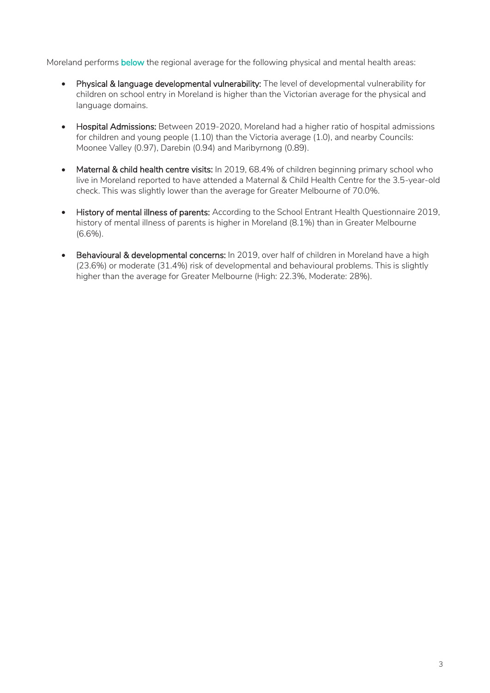Moreland performs below the regional average for the following physical and mental health areas:

- Physical & language developmental vulnerability: The level of developmental vulnerability for children on school entry in Moreland is higher than the Victorian average for the physical and language domains.
- Hospital Admissions: Between 2019-2020, Moreland had a higher ratio of hospital admissions for children and young people (1.10) than the Victoria average (1.0), and nearby Councils: Moonee Valley (0.97), Darebin (0.94) and Maribyrnong (0.89).
- Maternal & child health centre visits: In 2019, 68.4% of children beginning primary school who live in Moreland reported to have attended a Maternal & Child Health Centre for the 3.5-year-old check. This was slightly lower than the average for Greater Melbourne of 70.0%.
- History of mental illness of parents: According to the School Entrant Health Questionnaire 2019, history of mental illness of parents is higher in Moreland (8.1%) than in Greater Melbourne (6.6%).
- Behavioural & developmental concerns: In 2019, over half of children in Moreland have a high (23.6%) or moderate (31.4%) risk of developmental and behavioural problems. This is slightly higher than the average for Greater Melbourne (High: 22.3%, Moderate: 28%).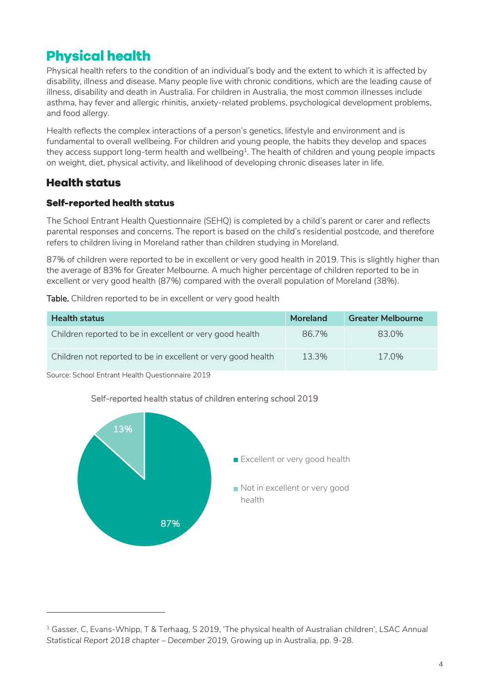# <span id="page-3-0"></span>**Physical health**

Physical health refers to the condition of an individual's body and the extent to which it is affected by disability, illness and disease. Many people live with chronic conditions, which are the leading cause of illness, disability and death in Australia. For children in Australia, the most common illnesses include asthma, hay fever and allergic rhinitis, anxiety-related problems, psychological development problems, and food allergy.

Health reflects the complex interactions of a person's genetics, lifestyle and environment and is fundamental to overall wellbeing. For children and young people, the habits they develop and spaces they access support long-term health and wellbeing $^{\scriptscriptstyle 1}$ . The health of children and young people impacts on weight, diet, physical activity, and likelihood of developing chronic diseases later in life.

### <span id="page-3-1"></span>**Health status**

-

#### **Self-reported health status**

The School Entrant Health Questionnaire (SEHQ) is completed by a child's parent or carer and reflects parental responses and concerns. The report is based on the child's residential postcode, and therefore refers to children living in Moreland rather than children studying in Moreland.

87% of children were reported to be in excellent or very good health in 2019. This is slightly higher than the average of 83% for Greater Melbourne. A much higher percentage of children reported to be in excellent or very good health (87%) compared with the overall population of Moreland (38%).

Table. Children reported to be in excellent or very good health

| <b>Health status</b>                                         | <b>Moreland</b> | <b>Greater Melbourne</b> |
|--------------------------------------------------------------|-----------------|--------------------------|
| Children reported to be in excellent or very good health     | 86.7%           | 83.0%                    |
| Children not reported to be in excellent or very good health | 13.3%           | 17.0%                    |

Source: School Entrant Health Questionnaire 2019



#### Self-reported health status of children entering school 2019

<sup>1</sup> Gasser, C, Evans-Whipp, T & Terhaag, S 2019, 'The physical health of Australian children', *LSAC Annual Statistical Report 2018 chapter – December 2019,* Growing up in Australia, pp. 9-28.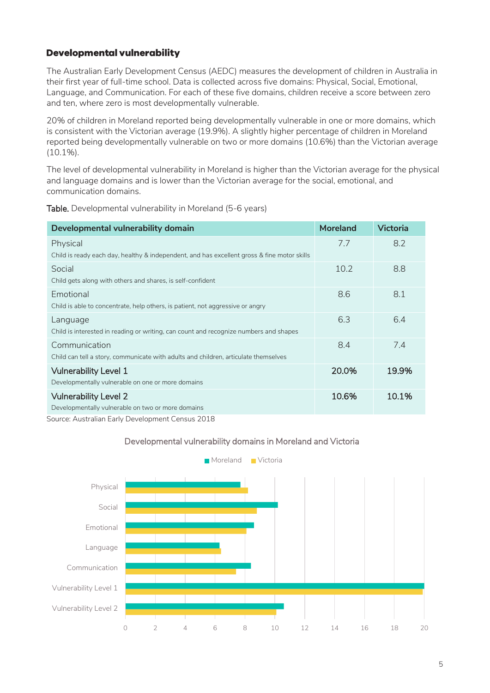#### **Developmental vulnerability**

The Australian Early Development Census (AEDC) measures the development of children in Australia in their first year of full-time school. Data is collected across five domains: Physical, Social, Emotional, Language, and Communication. For each of these five domains, children receive a score between zero and ten, where zero is most developmentally vulnerable.

20% of children in Moreland reported being developmentally vulnerable in one or more domains, which is consistent with the Victorian average (19.9%). A slightly higher percentage of children in Moreland reported being developmentally vulnerable on two or more domains (10.6%) than the Victorian average (10.1%).

The level of developmental vulnerability in Moreland is higher than the Victorian average for the physical and language domains and is lower than the Victorian average for the social, emotional, and communication domains.

| Developmental vulnerability domain                                                          | <b>Moreland</b> | <b>Victoria</b> |
|---------------------------------------------------------------------------------------------|-----------------|-----------------|
| Physical                                                                                    | 7.7             | 8.2             |
| Child is ready each day, healthy & independent, and has excellent gross & fine motor skills |                 |                 |
| Social                                                                                      | 10.2            | 8.8             |
| Child gets along with others and shares, is self-confident                                  |                 |                 |
| Emotional                                                                                   | 8.6             | 8.1             |
| Child is able to concentrate, help others, is patient, not aggressive or angry              |                 |                 |
| Language                                                                                    | 6.3             | 6.4             |
| Child is interested in reading or writing, can count and recognize numbers and shapes       |                 |                 |
| Communication                                                                               | 8.4             | 7.4             |
| Child can tell a story, communicate with adults and children, articulate themselves         |                 |                 |
| <b>Vulnerability Level 1</b>                                                                | 20.0%           | 19.9%           |
| Developmentally vulnerable on one or more domains                                           |                 |                 |
| <b>Vulnerability Level 2</b>                                                                | 10.6%           | 10.1%           |
| Developmentally vulnerable on two or more domains                                           |                 |                 |

Table. Developmental vulnerability in Moreland (5-6 years)

Source: Australian Early Development Census 2018



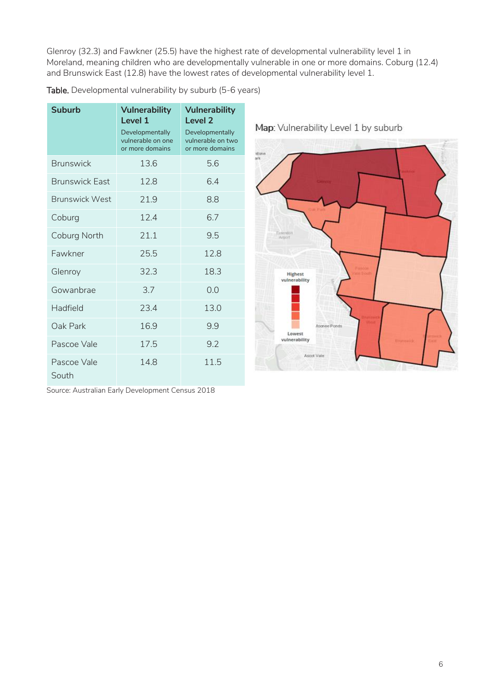Glenroy (32.3) and Fawkner (25.5) have the highest rate of developmental vulnerability level 1 in Moreland, meaning children who are developmentally vulnerable in one or more domains. Coburg (12.4) and Brunswick East (12.8) have the lowest rates of developmental vulnerability level 1.

| <b>Suburb</b>         | <b>Vulnerability</b><br>Level 1<br>Developmentally<br>vulnerable on one<br>or more domains | <b>Vulnerability</b><br>Level <sub>2</sub><br>Developmentally<br>vulnerable on two<br>or more domains |
|-----------------------|--------------------------------------------------------------------------------------------|-------------------------------------------------------------------------------------------------------|
| <b>Brunswick</b>      | 13.6                                                                                       | 5.6                                                                                                   |
| <b>Brunswick East</b> | 12.8                                                                                       | 6.4                                                                                                   |
| <b>Brunswick West</b> | 21.9                                                                                       | 8.8                                                                                                   |
| Coburg                | 12.4                                                                                       | 6.7                                                                                                   |
| Coburg North          | 21.1                                                                                       | 9.5                                                                                                   |
| Fawkner               | 25.5                                                                                       | 12.8                                                                                                  |
| Glenroy               | 32.3                                                                                       | 18.3                                                                                                  |
| Gowanbrae             | 3.7                                                                                        | 0.0                                                                                                   |
| Hadfield              | 23.4                                                                                       | 13.0                                                                                                  |
| Oak Park              | 16.9                                                                                       | 9.9                                                                                                   |
| Pascoe Vale           | 17.5                                                                                       | 9.2                                                                                                   |
| Pascoe Vale<br>South  | 14.8                                                                                       | 11.5                                                                                                  |

Table. Developmental vulnerability by suburb (5-6 years)

p: Vulnerability Level 1 by suburb



Source: Australian Early Development Census 2018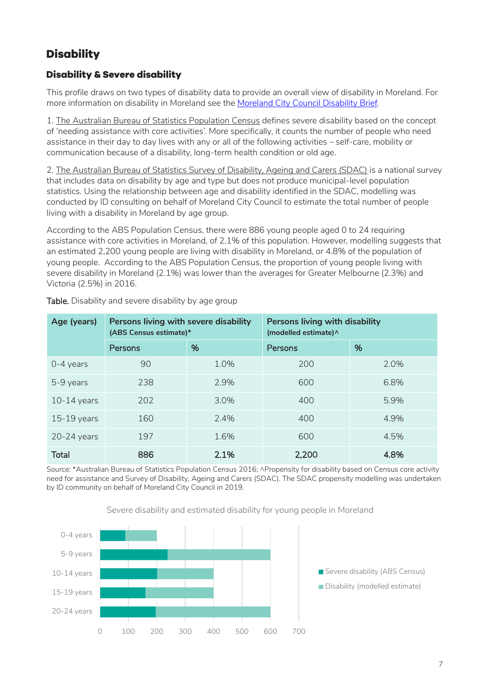## <span id="page-6-0"></span>**Disability**

#### **Disability & Severe disability**

This profile draws on two types of disability data to provide an overall view of disability in Moreland. For more information on disability in Moreland see th[e Moreland City Council Disability Brief.](https://www.moreland.vic.gov.au/globalassets/areas/researchlib-6733/vulnerable-population-brief---disability-v3.pdf)

1. The Australian Bureau of Statistics Population Census defines severe disability based on the concept of 'needing assistance with core activities'. More specifically, it counts the number of people who need assistance in their day to day lives with any or all of the following activities – self-care, mobility or communication because of a disability, long-term health condition or old age.

2. The Australian Bureau of Statistics Survey of Disability, Ageing and Carers (SDAC) is a national survey that includes data on disability by age and type but does not produce municipal-level population statistics. Using the relationship between age and disability identified in the SDAC, modelling was conducted by ID consulting on behalf of Moreland City Council to estimate the total number of people living with a disability in Moreland by age group.

According to the ABS Population Census, there were 886 young people aged 0 to 24 requiring assistance with core activities in Moreland, of 2.1% of this population. However, modelling suggests that an estimated 2,200 young people are living with disability in Moreland, or 4.8% of the population of young people. According to the ABS Population Census, the proportion of young people living with severe disability in Moreland (2.1%) was lower than the averages for Greater Melbourne (2.3%) and Victoria (2.5%) in 2016.

| Age (years)   | Persons living with severe disability<br>(ABS Census estimate)* |      | Persons living with disability<br>(modelled estimate) ^ |      |
|---------------|-----------------------------------------------------------------|------|---------------------------------------------------------|------|
|               | Persons                                                         | %    | Persons                                                 | %    |
| $0-4$ years   | 90                                                              | 1.0% | 200                                                     | 2.0% |
| 5-9 years     | 238                                                             | 2.9% | 600                                                     | 6.8% |
| $10-14$ years | 202                                                             | 3.0% | 400                                                     | 5.9% |
| $15-19$ years | 160                                                             | 2.4% | 400                                                     | 4.9% |
| $20-24$ years | 197                                                             | 1.6% | 600                                                     | 4.5% |
| <b>Total</b>  | 886                                                             | 2.1% | 2,200                                                   | 4.8% |

Table. Disability and severe disability by age group

Source: \*Australian Bureau of Statistics Population Census 2016; ^Propensity for disability based on Census core activity need for assistance and Survey of Disability, Ageing and Carers (SDAC). The SDAC propensity modelling was undertaken by ID community on behalf of Moreland City Council in 2019.



Severe disability and estimated disability for young people in Moreland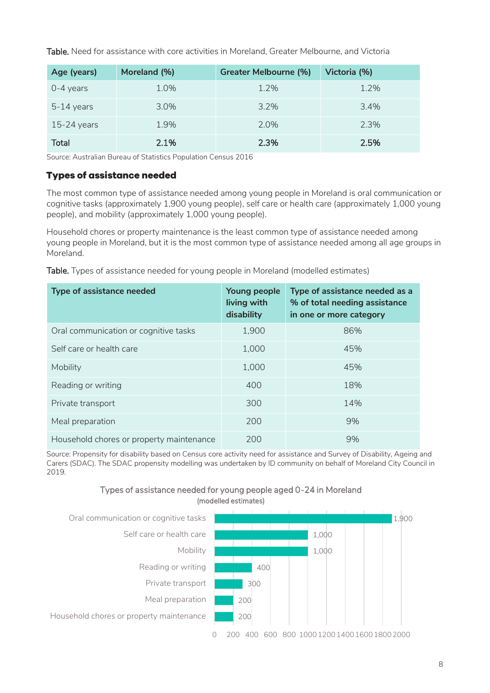Table. Need for assistance with core activities in Moreland, Greater Melbourne, and Victoria

| Age (years)   | Moreland (%) | Greater Melbourne (%) | Victoria (%) |
|---------------|--------------|-----------------------|--------------|
| $0-4$ years   | 1.0%         | 1.2%                  | 1.2%         |
| $5-14$ years  | $3.0\%$      | 3.2%                  | 3.4%         |
| $15-24$ years | 1.9%         | 2.0%                  | 2.3%         |
| <b>Total</b>  | 2.1%         | 2.3%                  | 2.5%         |

Source: Australian Bureau of Statistics Population Census 2016

#### **Types of assistance needed**

The most common type of assistance needed among young people in Moreland is oral communication or cognitive tasks (approximately 1,900 young people), self care or health care (approximately 1,000 young people), and mobility (approximately 1,000 young people).

Household chores or property maintenance is the least common type of assistance needed among young people in Moreland, but it is the most common type of assistance needed among all age groups in Moreland.

|  |  |  |  | Table. Types of assistance needed for young people in Moreland (modelled estimates) |
|--|--|--|--|-------------------------------------------------------------------------------------|
|--|--|--|--|-------------------------------------------------------------------------------------|

| Type of assistance needed                | Young people<br>living with<br>disability | Type of assistance needed as a<br>% of total needing assistance<br>in one or more category |
|------------------------------------------|-------------------------------------------|--------------------------------------------------------------------------------------------|
| Oral communication or cognitive tasks    | 1,900                                     | 86%                                                                                        |
| Self care or health care                 | 1,000                                     | 45%                                                                                        |
| Mobility                                 | 1,000                                     | 45%                                                                                        |
| Reading or writing                       | 400                                       | 18%                                                                                        |
| Private transport                        | 300                                       | 14%                                                                                        |
| Meal preparation                         | 200                                       | 9%                                                                                         |
| Household chores or property maintenance | 200                                       | 9%                                                                                         |

Source: Propensity for disability based on Census core activity need for assistance and Survey of Disability, Ageing and Carers (SDAC). The SDAC propensity modelling was undertaken by ID community on behalf of Moreland City Council in 2019.



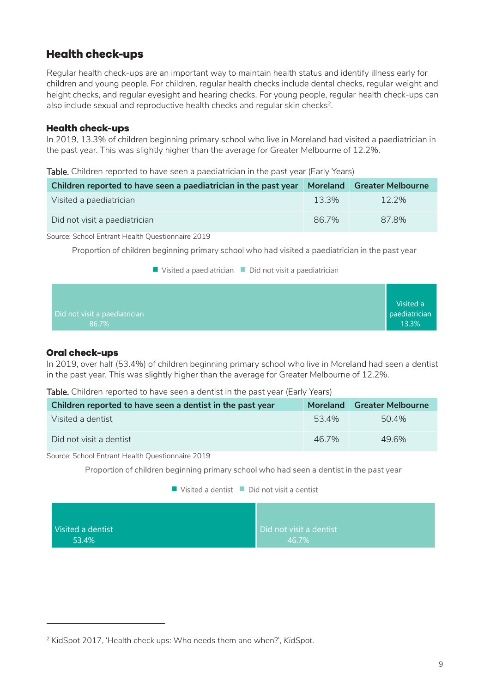### <span id="page-8-0"></span>**Health check-ups**

Regular health check-ups are an important way to maintain health status and identify illness early for children and young people. For children, regular health checks include dental checks, regular weight and height checks, and regular eyesight and hearing checks. For young people, regular health check-ups can also include sexual and reproductive health checks and regular skin checks<sup>2</sup>.

#### **Health check-ups**

In 2019, 13.3% of children beginning primary school who live in Moreland had visited a paediatrician in the past year. This was slightly higher than the average for Greater Melbourne of 12.2%.

Table. Children reported to have seen a paediatrician in the past year (Early Years)

| Children reported to have seen a paediatrician in the past year | <b>Moreland</b> | <b>Greater Melbourne</b> |
|-----------------------------------------------------------------|-----------------|--------------------------|
| Visited a paediatrician                                         | 13.3%           | $12.2\%$                 |
| Did not visit a paediatrician                                   | 86.7%           | 87.8%                    |

Source: School Entrant Health Questionnaire 2019

Proportion of children beginning primary school who had visited a paediatrician in the past year

Visited a paediatrician Did not visit a paediatrician

| Did not visit a paediatrician<br>13.3%<br>86.7% |  |  |  |  |  | Visited a<br>paediatrician |
|-------------------------------------------------|--|--|--|--|--|----------------------------|
|-------------------------------------------------|--|--|--|--|--|----------------------------|

#### **Oral check-ups**

-

In 2019, over half (53.4%) of children beginning primary school who live in Moreland had seen a dentist in the past year. This was slightly higher than the average for Greater Melbourne of 12.2%.

#### Table. Children reported to have seen a dentist in the past year (Early Years)

| Children reported to have seen a dentist in the past year | <b>Moreland</b> | <b>Greater Melbourne</b> |
|-----------------------------------------------------------|-----------------|--------------------------|
| Visited a dentist                                         | 53.4%           | 50.4%                    |
| Did not visit a dentist                                   | 46.7%           | 496%                     |

Source: School Entrant Health Questionnaire 2019

Proportion of children beginning primary school who had seen a dentist in the past year

#### $\blacksquare$  Visited a dentist  $\blacksquare$  Did not visit a dentist

| Visited a dentist | Did not visit a dentist |
|-------------------|-------------------------|
| 53.4%             | 46.7%                   |

<sup>2</sup> KidSpot 2017, 'Health check ups: Who needs them and when?', *KidSpot*.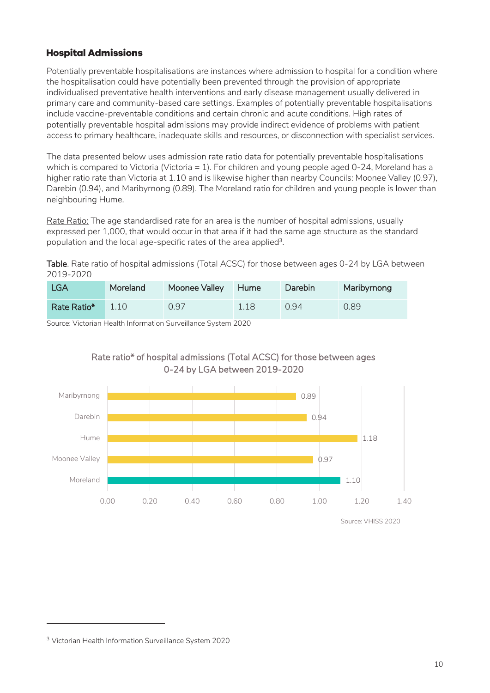#### **Hospital Admissions**

Potentially preventable hospitalisations are instances where admission to hospital for a condition where the hospitalisation could have potentially been prevented through the provision of appropriate individualised preventative health interventions and early disease management usually delivered in primary care and community-based care settings. Examples of potentially preventable hospitalisations include vaccine-preventable conditions and certain chronic and acute conditions. High rates of potentially preventable hospital admissions may provide indirect evidence of problems with patient access to primary healthcare, inadequate skills and resources, or disconnection with specialist services.

The data presented below uses admission rate ratio data for potentially preventable hospitalisations which is compared to Victoria (Victoria = 1). For children and young people aged 0-24, Moreland has a higher ratio rate than Victoria at 1.10 and is likewise higher than nearby Councils: Moonee Valley (0.97), Darebin (0.94), and Maribyrnong (0.89). The Moreland ratio for children and young people is lower than neighbouring Hume.

Rate Ratio: The age standardised rate for an area is the number of hospital admissions, usually expressed per 1,000, that would occur in that area if it had the same age structure as the standard population and the local age-specific rates of the area applied<sup>3</sup>.

Table. Rate ratio of hospital admissions (Total ACSC) for those between ages 0-24 by LGA between 2019-2020

| LGA         | Moreland | Moonee Valley | <b>Hume</b> | Darebin | Maribyrnong |
|-------------|----------|---------------|-------------|---------|-------------|
| Rate Ratio* | 1.10     | 0.97          | 1.18        | 0.94    | 0.89        |

Source: Victorian Health Information Surveillance System 2020



Rate ratio\* of hospital admissions (Total ACSC) for those between ages 0-24 by LGA between 2019-2020

Source: VHISS 2020

-

<sup>3</sup> Victorian Health Information Surveillance System 2020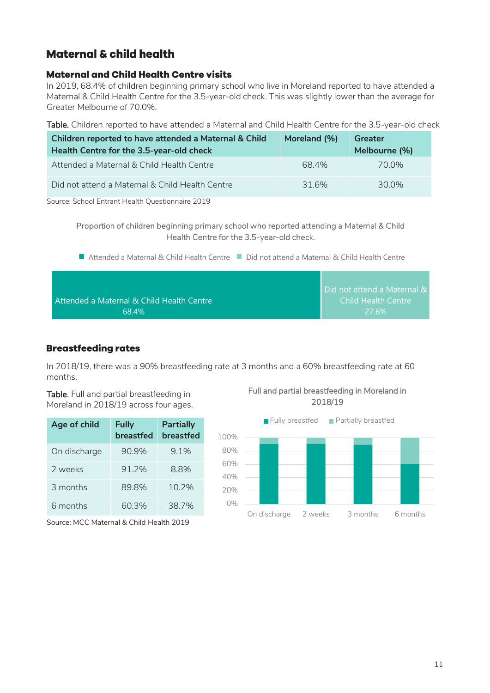### <span id="page-10-0"></span>**Maternal & child health**

#### **Maternal and Child Health Centre visits**

In 2019, 68.4% of children beginning primary school who live in Moreland reported to have attended a Maternal & Child Health Centre for the 3.5-year-old check. This was slightly lower than the average for Greater Melbourne of 70.0%.

Table. Children reported to have attended a Maternal and Child Health Centre for the 3.5-year-old check

| Children reported to have attended a Maternal & Child<br>Health Centre for the 3.5-year-old check | Moreland (%) | Greater<br>Melbourne (%) |
|---------------------------------------------------------------------------------------------------|--------------|--------------------------|
| Attended a Maternal & Child Health Centre                                                         | 68.4%        | 70.0%                    |
| Did not attend a Maternal & Child Health Centre                                                   | 316%         | 30.0%                    |

Source: School Entrant Health Questionnaire 2019

Proportion of children beginning primary school who reported attending a Maternal & Child Health Centre for the 3.5-year-old check.

■ Attended a Maternal & Child Health Centre ■ Did not attend a Maternal & Child Health Centre

|                                           | Did not attend a Maternal & |
|-------------------------------------------|-----------------------------|
| Attended a Maternal & Child Health Centre | Child Health Centre         |
| 68.4%                                     | 27.6%                       |

#### **Breastfeeding rates**

In 2018/19, there was a 90% breastfeeding rate at 3 months and a 60% breastfeeding rate at 60 months.

Table. Full and partial breastfeeding in Moreland in 2018/19 across four ages.

| Age of child | <b>Fully</b><br>breastfed | <b>Partially</b><br>breastfed |
|--------------|---------------------------|-------------------------------|
| On discharge | 90.9%                     | 9.1%                          |
| 2 weeks      | 91.2%                     | 8.8%                          |
| 3 months     | 89.8%                     | 10.2%                         |
| 6 months     | 60.3%                     | 38.7%                         |

Source: MCC Maternal & Child Health 2019

Full and partial breastfeeding in Moreland in 2018/19

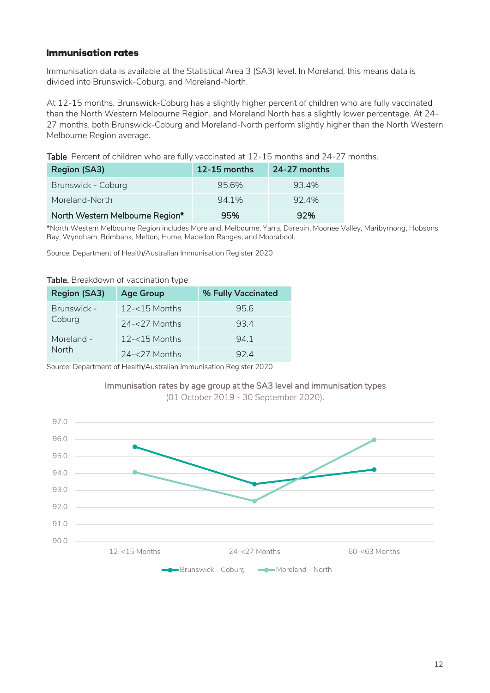#### **Immunisation rates**

Immunisation data is available at the Statistical Area 3 (SA3) level. In Moreland, this means data is divided into Brunswick-Coburg, and Moreland-North.

At 12-15 months, Brunswick-Coburg has a slightly higher percent of children who are fully vaccinated than the North Western Melbourne Region, and Moreland North has a slightly lower percentage. At 24- 27 months, both Brunswick-Coburg and Moreland-North perform slightly higher than the North Western Melbourne Region average.

Table. Percent of children who are fully vaccinated at 12-15 months and 24-27 months.

| <b>Region (SA3)</b>             | $12 - 15$ months | $24-27$ months |
|---------------------------------|------------------|----------------|
| Brunswick - Coburg              | 95.6%            | 93.4%          |
| Moreland-North                  | 94.1%            | 92.4%          |
| North Western Melbourne Region* | 95%              | 92%            |

\*North Western Melbourne Region includes Moreland, Melbourne, Yarra, Darebin, Moonee Valley, Maribyrnong, Hobsons Bay, Wyndham, Brimbank, Melton, Hume, Macedon Ranges, and Moorabool.

Source: Department of Health/Australian Immunisation Register 2020

#### Table. Breakdown of vaccination type

| <b>Region (SA3)</b> | <b>Age Group</b> | % Fully Vaccinated |
|---------------------|------------------|--------------------|
| Brunswick -         | $12 - 15$ Months | 95.6               |
| Coburg              | $24 - 27$ Months | 934                |
| Moreland -          | $12 - 15$ Months | 941                |
| <b>North</b>        | $24 - 27$ Months | 924                |

Source: Department of Health/Australian Immunisation Register 2020

#### Immunisation rates by age group at the SA3 level and immunisation types

(01 October 2019 - 30 September 2020).

<span id="page-11-0"></span>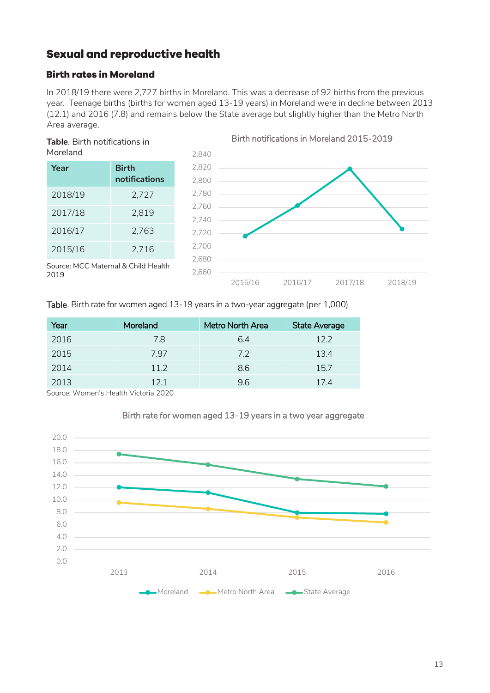### **Sexual and reproductive health**

#### **Birth rates in Moreland**

In 2018/19 there were 2,727 births in Moreland. This was a decrease of 92 births from the previous year. Teenage births (births for women aged 13-19 years) in Moreland were in decline between 2013 (12.1) and 2016 (7.8) and remains below the State average but slightly higher than the Metro North Area average.



| Year    | <b>Birth</b><br>notifications |
|---------|-------------------------------|
| 2018/19 | 2,727                         |
| 2017/18 | 2,819                         |
| 2016/17 | 2,763                         |
| 2015/16 | 2,716                         |



Source: MCC Maternal & Child Health 2019

Table. Birth rate for women aged 13-19 years in a two-year aggregate (per 1,000)

| Year | Moreland | <b>Metro North Area</b> | <b>State Average</b> |
|------|----------|-------------------------|----------------------|
| 2016 | 7.8      | 6.4                     | 12.2                 |
| 2015 | 7.97     | 7.2                     | 13.4                 |
| 2014 | 11.2     | 8.6                     | 15.7                 |
| 2013 | 121      | 9.6                     | 17.4                 |

Source: Women's Health Victoria 2020



#### Birth rate for women aged 13-19 years in a two year aggregate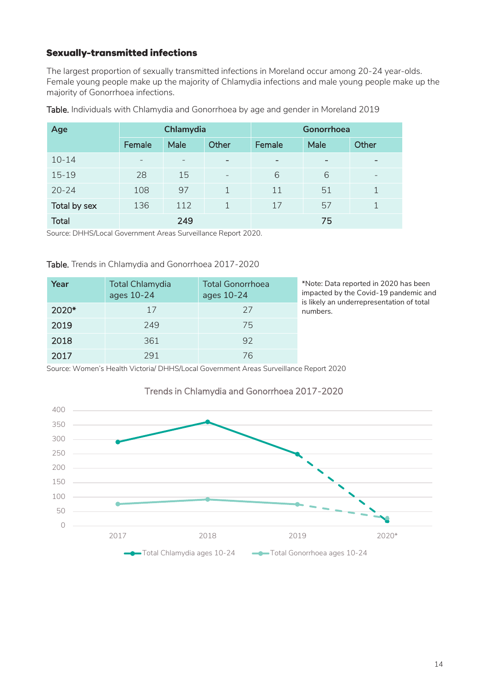#### **Sexually-transmitted infections**

The largest proportion of sexually transmitted infections in Moreland occur among 20-24 year-olds. Female young people make up the majority of Chlamydia infections and male young people make up the majority of Gonorrhoea infections.

| Age          | Chlamydia |      | Gonorrhoea        |                          |      |                          |
|--------------|-----------|------|-------------------|--------------------------|------|--------------------------|
|              | Female    | Male | Other             | Female                   | Male | Other                    |
| $10 - 14$    |           |      |                   | $\overline{\phantom{0}}$ | -    | $\overline{\phantom{0}}$ |
| $15 - 19$    | 28        | 15   | $\qquad \qquad -$ | 6                        | 6    | $\overline{\phantom{a}}$ |
| $20 - 24$    | 108       | 97   | 1                 | 11                       | 51   |                          |
| Total by sex | 136       | 112  | 1                 | 17                       | 57   |                          |
| <b>Total</b> |           | 249  |                   |                          | 75   |                          |

Table. Individuals with Chlamydia and Gonorrhoea by age and gender in Moreland 2019

Source: DHHS/Local Government Areas Surveillance Report 2020.

Table. Trends in Chlamydia and Gonorrhoea 2017-2020

| Year  | <b>Total Chlamydia</b><br>ages 10-24 | <b>Total Gonorrhoea</b><br>ages 10-24 | *Note: Da<br>impacted<br>is likely a |
|-------|--------------------------------------|---------------------------------------|--------------------------------------|
| 2020* | 17                                   | 27                                    | numbers.                             |
| 2019  | 249                                  | 75                                    |                                      |
| 2018  | 361                                  | 92                                    |                                      |
| 2017  | 291                                  | 76                                    |                                      |

\*Note: Data reported in 2020 has been impacted by the Covid-19 pandemic and is likely an underrepresentation of total

Source: Women's Health Victoria/ DHHS/Local Government Areas Surveillance Report 2020



#### Trends in Chlamydia and Gonorrhoea 2017-2020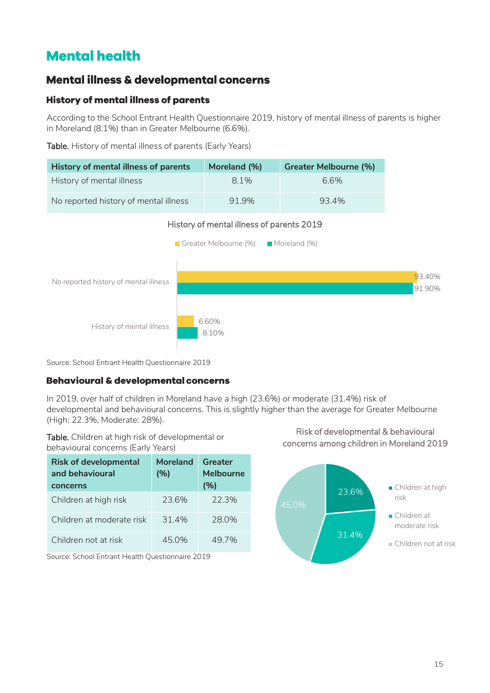# <span id="page-14-0"></span>**Mental health**

### <span id="page-14-1"></span>Mental illness & developmental concerns

#### **History of mental illness of parents**

According to the School Entrant Health Questionnaire 2019, history of mental illness of parents is higher in Moreland (8.1%) than in Greater Melbourne (6.6%).

Table. History of mental illness of parents (Early Years)

| History of mental illness of parents  | Moreland (%) | <b>Greater Melbourne (%)</b> |
|---------------------------------------|--------------|------------------------------|
| History of mental illness             | 8.1%         | 66%                          |
| No reported history of mental illness | 91.9%        | 93.4%                        |



Source: School Entrant Health Questionnaire 2019

#### **Behavioural & developmental concerns**

In 2019, over half of children in Moreland have a high (23.6%) or moderate (31.4%) risk of developmental and behavioural concerns. This is slightly higher than the average for Greater Melbourne (High: 22.3%, Moderate: 28%).

Table. Children at high risk of developmental or behavioural concerns (Early Years)

| <b>Risk of developmental</b><br>and behavioural<br>concerns | Moreland<br>(%) | Greater<br><b>Melbourne</b><br>(%) |
|-------------------------------------------------------------|-----------------|------------------------------------|
| Children at high risk                                       | 23.6%           | 22.3%                              |
| Children at moderate risk                                   | 314%            | 28.0%                              |
| Children not at risk                                        | 45.0%           | 497%                               |

Source: School Entrant Health Questionnaire 2019

Risk of developmental & behavioural concerns among children in Moreland 2019

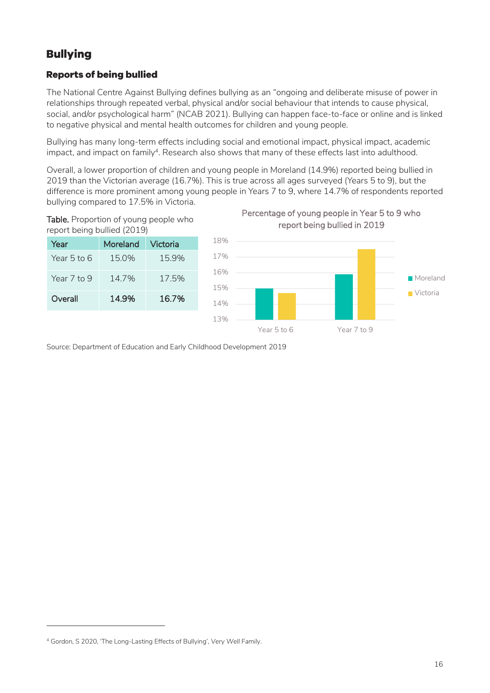### <span id="page-15-0"></span>**Bullying**

#### **Reports of being bullied**

The National Centre Against Bullying defines bullying as an "ongoing and deliberate misuse of power in relationships through repeated verbal, physical and/or social behaviour that intends to cause physical, social, and/or psychological harm" (NCAB 2021). Bullying can happen face-to-face or online and is linked to negative physical and mental health outcomes for children and young people.

Bullying has many long-term effects including social and emotional impact, physical impact, academic impact, and impact on family<sup>4</sup>. Research also shows that many of these effects last into adulthood.  $\,$ 

Overall, a lower proportion of children and young people in Moreland (14.9%) reported being bullied in 2019 than the Victorian average (16.7%). This is true across all ages surveyed (Years 5 to 9), but the difference is more prominent among young people in Years 7 to 9, where 14.7% of respondents reported bullying compared to 17.5% in Victoria.



| Year        | Moreland | Victoria |
|-------------|----------|----------|
| Year 5 to 6 | 15.0%    | 15.9%    |
| Year 7 to 9 | 14.7%    | 175%     |
| Overall     | 14.9%    | 16.7%    |





Source: Department of Education and Early Childhood Development 2019

-

<sup>4</sup> Gordon, S 2020, 'The Long-Lasting Effects of Bullying', *Very Well Family*.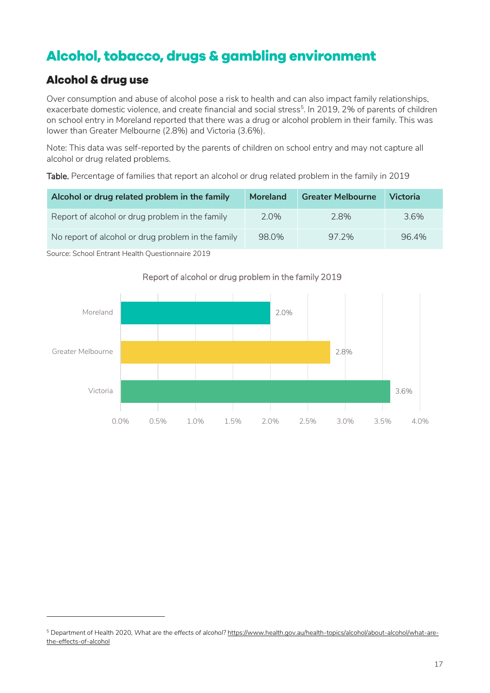# <span id="page-16-0"></span>Alcohol, tobacco, drugs & gambling environment

### <span id="page-16-1"></span>**Alcohol & drug use**

-

Over consumption and abuse of alcohol pose a risk to health and can also impact family relationships, exacerbate domestic violence, and create financial and social stress<sup>5</sup>. In 2019, 2% of parents of children on school entry in Moreland reported that there was a drug or alcohol problem in their family. This was lower than Greater Melbourne (2.8%) and Victoria (3.6%).

Note: This data was self-reported by the parents of children on school entry and may not capture all alcohol or drug related problems.

Table. Percentage of families that report an alcohol or drug related problem in the family in 2019

| Alcohol or drug related problem in the family      | <b>Moreland</b> | <b>Greater Melbourne</b> | <b>Victoria</b> |
|----------------------------------------------------|-----------------|--------------------------|-----------------|
| Report of alcohol or drug problem in the family    | 2.0%            | 2.8%                     | 3.6%            |
| No report of alcohol or drug problem in the family | 98.0%           | 97.2%                    | 96.4%           |
| Source: School Entrant Health Questionnaire 2019   |                 |                          |                 |

<span id="page-16-2"></span>

#### Report of alcohol or drug problem in the family 2019

<sup>5</sup> Department of Health 2020, *What are the effects of alcohol?* [https://www.health.gov.au/health-topics/alcohol/about-alcohol/what-are](https://www.health.gov.au/health-topics/alcohol/about-alcohol/what-are-the-effects-of-alcohol)[the-effects-of-alcohol](https://www.health.gov.au/health-topics/alcohol/about-alcohol/what-are-the-effects-of-alcohol)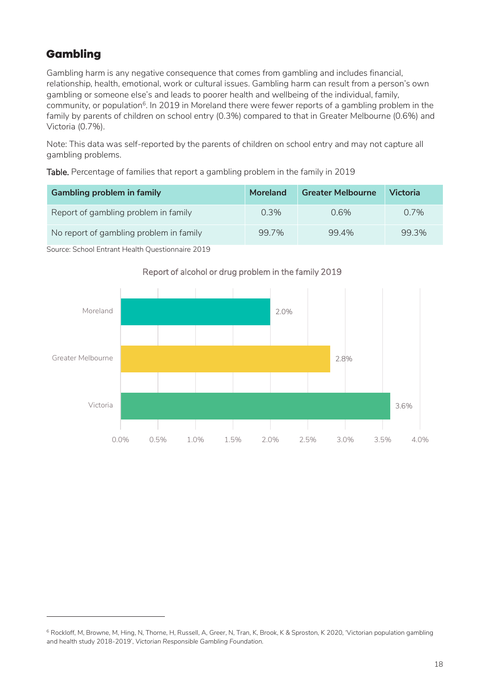### Gambling

-

Gambling harm is any negative consequence that comes from gambling and includes financial, relationship, health, emotional, work or cultural issues. Gambling harm can result from a person's own gambling or someone else's and leads to poorer health and wellbeing of the individual, family, community, or population<sup>6</sup>. In 2019 in Moreland there were fewer reports of a gambling problem in the family by parents of children on school entry (0.3%) compared to that in Greater Melbourne (0.6%) and Victoria (0.7%).

Note: This data was self-reported by the parents of children on school entry and may not capture all gambling problems.

Table. Percentage of families that report a gambling problem in the family in 2019

| <b>Gambling problem in family</b>       | Moreland | <b>Greater Melbourne</b> | <b>Victoria</b> |
|-----------------------------------------|----------|--------------------------|-----------------|
| Report of gambling problem in family    | $0.3\%$  | 0.6%                     | $0.7\%$         |
| No report of gambling problem in family | 99.7%    | 99.4%                    | 99.3%           |

Source: School Entrant Health Questionnaire 2019



#### Report of alcohol or drug problem in the family 2019

<sup>6</sup> Rockloff, M, Browne, M, Hing, N, Thorne, H, Russell, A, Greer, N, Tran, K, Brook, K & Sproston, K 2020, 'Victorian population gambling and health study 2018-2019', *Victorian Responsible Gambling Foundation.*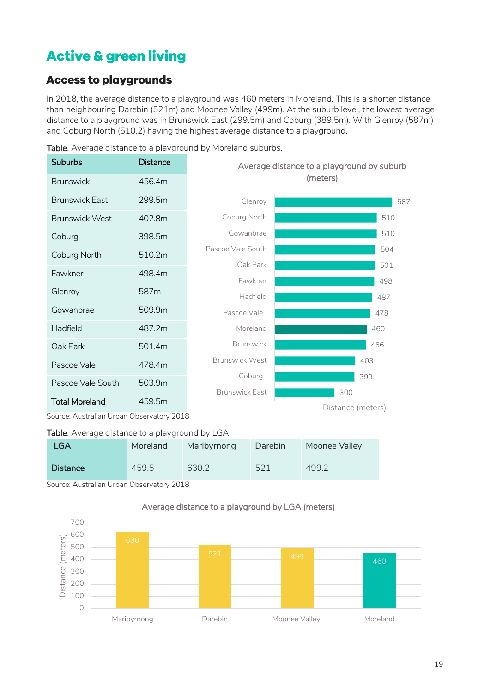# <span id="page-18-0"></span>**Active & green living**

### <span id="page-18-1"></span>**Access to playgrounds**

In 2018, the average distance to a playground was 460 meters in Moreland. This is a shorter distance than neighbouring Darebin (521m) and Moonee Valley (499m). At the suburb level, the lowest average distance to a playground was in Brunswick East (299.5m) and Coburg (389.5m). With Glenroy (587m) and Coburg North (510.2) having the highest average distance to a playground.

| Suburbs               | Distance         | Average distance to a playground by suburb |                   |  |
|-----------------------|------------------|--------------------------------------------|-------------------|--|
| <b>Brunswick</b>      | 456.4m           |                                            | (meters)          |  |
| <b>Brunswick East</b> | 299.5m           | Glenroy                                    | 587               |  |
| <b>Brunswick West</b> | 402.8m           | Coburg North                               | 510               |  |
| Coburg                | 398.5m           | Gowanbrae                                  | 510               |  |
| Coburg North          | 510.2m           | Pascoe Vale South                          | 504               |  |
| Fawkner               | 498.4m           | Oak Park                                   | 501               |  |
| Glenroy               | 587 <sub>m</sub> | Fawkner<br>Hadfield                        | 498<br>487        |  |
| Gowanbrae             | 509.9m           | Pascoe Vale                                | 478               |  |
| Hadfield              | 487.2m           | Moreland                                   | 460               |  |
| Oak Park              | 501.4m           | <b>Brunswick</b>                           | 456               |  |
| Pascoe Vale           | 478.4m           | <b>Brunswick West</b>                      | 403               |  |
| Pascoe Vale South     | 503.9m           | Coburg                                     | 399               |  |
| <b>Total Moreland</b> | 459.5m           | <b>Brunswick East</b>                      | 300               |  |
|                       |                  |                                            | Distance (meters) |  |

Table. Average distance to a playground by Moreland suburbs.

Source: Australian Urban Observatory 2018

#### Table. Average distance to a playground by LGA.

| <b>LGA</b>      | Moreland | Maribyrnong | Darebin | Moonee Valley |
|-----------------|----------|-------------|---------|---------------|
| <b>Distance</b> | 459.5    | 630.2       | 521     | 499.2         |

Source: Australian Urban Observatory 2018

#### Average distance to a playground by LGA (meters)

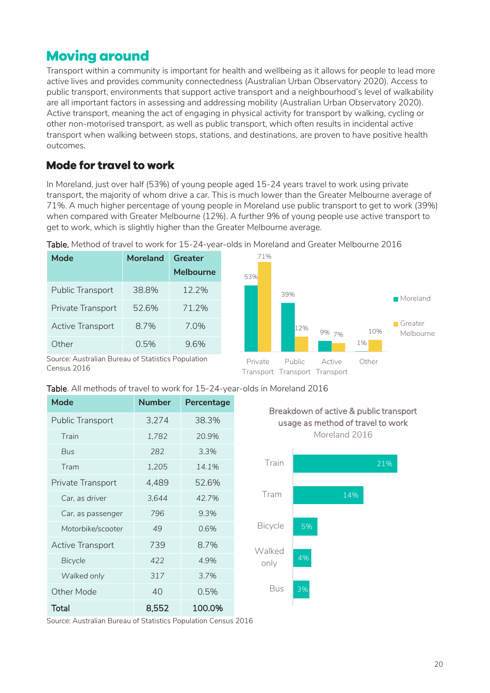# <span id="page-19-0"></span>**Moving around**

Transport within a community is important for health and wellbeing as it allows for people to lead more active lives and provides community connectedness (Australian Urban Observatory 2020). Access to public transport, environments that support active transport and a neighbourhood's level of walkability are all important factors in assessing and addressing mobility (Australian Urban Observatory 2020). Active transport, meaning the act of engaging in physical activity for transport by walking, cycling or other non-motorised transport, as well as public transport, which often results in incidental active transport when walking between stops, stations, and destinations, are proven to have positive health outcomes.

### <span id="page-19-1"></span>**Mode for travel to work**

In Moreland, just over half (53%) of young people aged 15-24 years travel to work using private transport, the majority of whom drive a car. This is much lower than the Greater Melbourne average of 71%. A much higher percentage of young people in Moreland use public transport to get to work (39%) when compared with Greater Melbourne (12%). A further 9% of young people use active transport to get to work, which is slightly higher than the Greater Melbourne average.

| <b>Mode</b>                                        | <b>Moreland</b> | Greater          |
|----------------------------------------------------|-----------------|------------------|
|                                                    |                 | <b>Melbourne</b> |
| Public Transport                                   | 38.8%           | 12.2%            |
| Private Transport                                  | 52.6%           | 71.2%            |
| Active Transport                                   | 8.7%            | 7.0%             |
| Other                                              | 0.5%            | 9.6%             |
| Source: Australian Bureau of Statistics Population |                 |                  |

Transport Transport Transport

3%

Table. Method of travel to work for 15-24-year-olds in Moreland and Greater Melbourne 2016

Census 2016

| Mode                    | <b>Number</b> | Percentage | Bre            |
|-------------------------|---------------|------------|----------------|
| Public Transport        | 3,274         | 38.3%      | u              |
| Train                   | 1,782         | 20.9%      |                |
| <b>Bus</b>              | 282           | 3.3%       |                |
| Tram                    | 1,205         | 14.1%      | Train          |
| Private Transport       | 4,489         | 52.6%      |                |
| Car, as driver          | 3,644         | 42.7%      | Tram           |
| Car, as passenger       | 796           | 9.3%       |                |
| Motorbike/scooter       | 49            | 0.6%       | <b>Bicycle</b> |
| <b>Active Transport</b> | 739           | 8.7%       | Walked         |
| <b>Bicycle</b>          | 422           | 4.9%       | only           |
| Walked only             | 317           | 3.7%       |                |
| Other Mode              | 40            | 0.5%       | Bus            |
| <b>Total</b>            | 8,552         | 100.0%     |                |



Source: Australian Bureau of Statistics Population Census 2016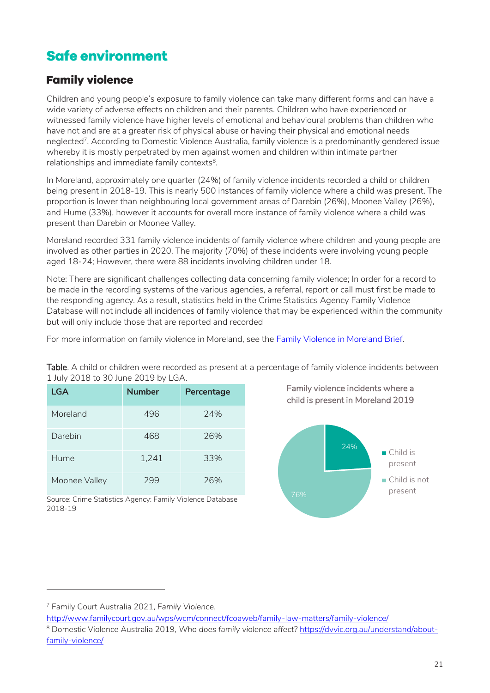# <span id="page-20-0"></span>**Safe environment**

### <span id="page-20-1"></span>**Family violence**

Children and young people's exposure to family violence can take many different forms and can have a wide variety of adverse effects on children and their parents. Children who have experienced or witnessed family violence have higher levels of emotional and behavioural problems than children who have not and are at a greater risk of physical abuse or having their physical and emotional needs neglected<sup>7</sup> . According to Domestic Violence Australia, family violence is a predominantly gendered issue whereby it is mostly perpetrated by men against women and children within intimate partner  $r$ elationships and immediate family contexts $^8$ .

In Moreland, approximately one quarter (24%) of family violence incidents recorded a child or children being present in 2018-19. This is nearly 500 instances of family violence where a child was present. The proportion is lower than neighbouring local government areas of Darebin (26%), Moonee Valley (26%), and Hume (33%), however it accounts for overall more instance of family violence where a child was present than Darebin or Moonee Valley.

Moreland recorded 331 family violence incidents of family violence where children and young people are involved as other parties in 2020. The majority (70%) of these incidents were involving young people aged 18-24; However, there were 88 incidents involving children under 18.

Note: There are significant challenges collecting data concerning family violence; In order for a record to be made in the recording systems of the various agencies, a referral, report or call must first be made to the responding agency. As a result, statistics held in the Crime Statistics Agency Family Violence Database will not include all incidences of family violence that may be experienced within the community but will only include those that are reported and recorded

For more information on family violence in Moreland, see the [Family Violence in Moreland Brief.](https://www.moreland.vic.gov.au/globalassets/areas/researchlib-6733/vulnerable-population-brief---family-violence-v3.pdf)

Table. A child or children were recorded as present at a percentage of family violence incidents between 1 July 2018 to 30 June 2019 by LGA.

| LGA           | <b>Number</b> | Percentage |
|---------------|---------------|------------|
| Moreland      | 496           | 24%        |
| Darebin       | 468           | 26%        |
| Hume          | 1,241         | 33%        |
| Moonee Valley | 299           | 26%        |

Family violence incidents where a child is present in Moreland 2019



Source: Crime Statistics Agency: Family Violence Database 2018-19

-

<sup>7</sup> Family Court Australia 2021, *Family Violence*,

<http://www.familycourt.gov.au/wps/wcm/connect/fcoaweb/family-law-matters/family-violence/>

<sup>8</sup> Domestic Violence Australia 2019, *Who does family violence affect?* [https://dvvic.org.au/understand/about](https://dvvic.org.au/understand/about-family-violence/)[family-violence/](https://dvvic.org.au/understand/about-family-violence/)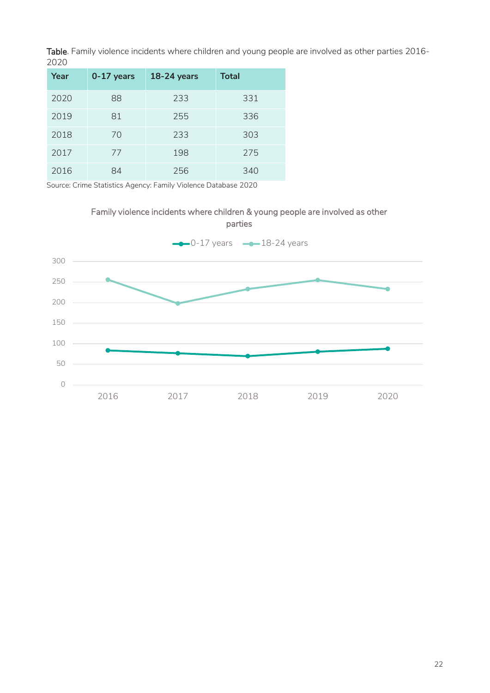Table. Family violence incidents where children and young people are involved as other parties 2016- 

| Year | $0-17$ years | $18-24$ years | <b>Total</b> |
|------|--------------|---------------|--------------|
| 2020 | 88           | 233           | 331          |
| 2019 | 81           | 255           | 336          |
| 2018 | 70           | 233           | 303          |
| 2017 | 77           | 198           | 275          |
| 2016 | 84           | 256           | 340          |

Source: Crime Statistics Agency: Family Violence Database 2020

# Family violence incidents where children & young people are involved as other

<span id="page-21-0"></span>

parties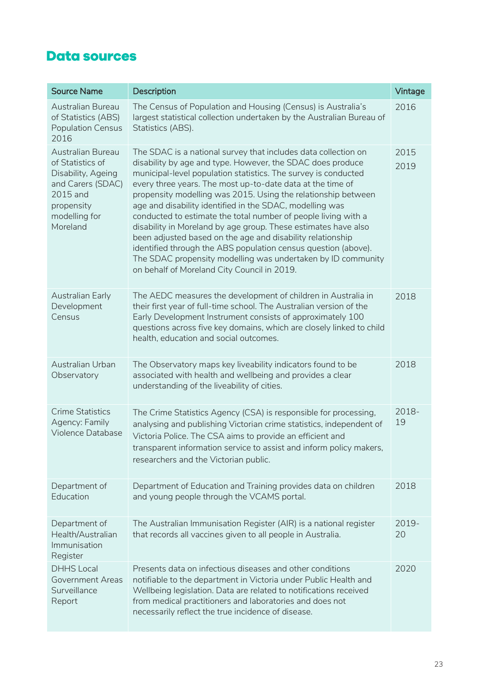# **Data sources**

| <b>Source Name</b>                                                                                                                      | Description                                                                                                                                                                                                                                                                                                                                                                                                                                                                                                                                                                                                                                                                                                                                                                  | Vintage      |
|-----------------------------------------------------------------------------------------------------------------------------------------|------------------------------------------------------------------------------------------------------------------------------------------------------------------------------------------------------------------------------------------------------------------------------------------------------------------------------------------------------------------------------------------------------------------------------------------------------------------------------------------------------------------------------------------------------------------------------------------------------------------------------------------------------------------------------------------------------------------------------------------------------------------------------|--------------|
| Australian Bureau<br>of Statistics (ABS)<br><b>Population Census</b><br>2016                                                            | The Census of Population and Housing (Census) is Australia's<br>largest statistical collection undertaken by the Australian Bureau of<br>Statistics (ABS).                                                                                                                                                                                                                                                                                                                                                                                                                                                                                                                                                                                                                   | 2016         |
| Australian Bureau<br>of Statistics of<br>Disability, Ageing<br>and Carers (SDAC)<br>2015 and<br>propensity<br>modelling for<br>Moreland | The SDAC is a national survey that includes data collection on<br>disability by age and type. However, the SDAC does produce<br>municipal-level population statistics. The survey is conducted<br>every three years. The most up-to-date data at the time of<br>propensity modelling was 2015. Using the relationship between<br>age and disability identified in the SDAC, modelling was<br>conducted to estimate the total number of people living with a<br>disability in Moreland by age group. These estimates have also<br>been adjusted based on the age and disability relationship<br>identified through the ABS population census question (above).<br>The SDAC propensity modelling was undertaken by ID community<br>on behalf of Moreland City Council in 2019. | 2015<br>2019 |
| Australian Early<br>Development<br>Census                                                                                               | The AEDC measures the development of children in Australia in<br>their first year of full-time school. The Australian version of the<br>Early Development Instrument consists of approximately 100<br>questions across five key domains, which are closely linked to child<br>health, education and social outcomes.                                                                                                                                                                                                                                                                                                                                                                                                                                                         | 2018         |
| Australian Urban<br>Observatory                                                                                                         | The Observatory maps key liveability indicators found to be<br>associated with health and wellbeing and provides a clear<br>understanding of the liveability of cities.                                                                                                                                                                                                                                                                                                                                                                                                                                                                                                                                                                                                      | 2018         |
| <b>Crime Statistics</b><br>Agency: Family<br>Violence Database                                                                          | The Crime Statistics Agency (CSA) is responsible for processing,<br>analysing and publishing Victorian crime statistics, independent of<br>Victoria Police. The CSA aims to provide an efficient and<br>transparent information service to assist and inform policy makers,<br>researchers and the Victorian public.                                                                                                                                                                                                                                                                                                                                                                                                                                                         | 2018-<br>19  |
| Department of<br>Education                                                                                                              | Department of Education and Training provides data on children<br>and young people through the VCAMS portal.                                                                                                                                                                                                                                                                                                                                                                                                                                                                                                                                                                                                                                                                 | 2018         |
| Department of<br>Health/Australian<br>Immunisation<br>Register                                                                          | The Australian Immunisation Register (AIR) is a national register<br>that records all vaccines given to all people in Australia.                                                                                                                                                                                                                                                                                                                                                                                                                                                                                                                                                                                                                                             | 2019-<br>20  |
| <b>DHHS Local</b><br><b>Government Areas</b><br>Surveillance<br>Report                                                                  | Presents data on infectious diseases and other conditions<br>notifiable to the department in Victoria under Public Health and<br>Wellbeing legislation. Data are related to notifications received<br>from medical practitioners and laboratories and does not<br>necessarily reflect the true incidence of disease.                                                                                                                                                                                                                                                                                                                                                                                                                                                         | 2020         |